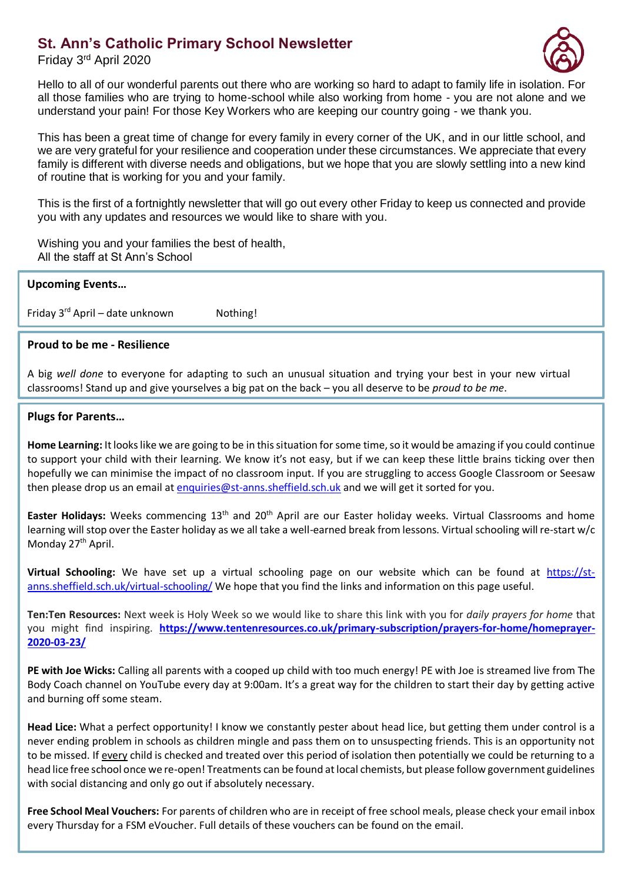## **St. Ann's Catholic Primary School Newsletter**

Friday 3<sup>rd</sup> April 2020



Hello to all of our wonderful parents out there who are working so hard to adapt to family life in isolation. all those families who are trying to home-school while also working from home - you are not alone and we understand your pain! For those Key Workers who are keeping our country going - we thank you.

This has been a great time of change for every family in every corner of the UK, and in our little school, and we are very grateful for your resilience and cooperation under these circumstances. We appreciate that every family is different with diverse needs and obligations, but we hope that you are slowly settling into a new kind of routine that is working for you and your family.

This is the first of a fortnightly newsletter that will go out every other Friday to keep us connected and provide you with any updates and resources we would like to share with you.

Wishing you and your families the best of health, All the staff at St Ann's School

| <b>Upcoming Events</b> |  |  |  |
|------------------------|--|--|--|
|                        |  |  |  |

Friday  $3^{rd}$  April – date unknown Nothing!

## **Proud to be me - Resilience**

A big *well done* to everyone for adapting to such an unusual situation and trying your best in your new virtual classrooms! Stand up and give yourselves a big pat on the back – you all deserve to be *proud to be me*.

## **Plugs for Parents…**

**Home Learning:** It looks like we are going to be in this situation for some time, so it would be amazing if you could continue to support your child with their learning. We know it's not easy, but if we can keep these little brains ticking over then hopefully we can minimise the impact of no classroom input. If you are struggling to access Google Classroom or Seesaw then please drop us an email at [enquiries@st-anns.sheffield.sch.uk](mailto:enquiries@st-anns.sheffield.sch.uk) and we will get it sorted for you.

Easter Holidays: Weeks commencing 13<sup>th</sup> and 20<sup>th</sup> April are our Easter holiday weeks. Virtual Classrooms and home learning will stop over the Easter holiday as we all take a well-earned break from lessons. Virtual schooling will re-start w/c Monday 27<sup>th</sup> April.

**Virtual Schooling:** We have set up a virtual schooling page on our website which can be found at [https://st](https://st-anns.sheffield.sch.uk/virtual-schooling/)[anns.sheffield.sch.uk/virtual-schooling/](https://st-anns.sheffield.sch.uk/virtual-schooling/) We hope that you find the links and information on this page useful.

**Ten:Ten Resources:** Next week is Holy Week so we would like to share this link with you for *daily prayers for home* that you might find inspiring. **[https://www.tentenresources.co.uk/primary-subscription/prayers-for-home/homeprayer-](https://www.tentenresources.co.uk/primary-subscription/prayers-for-home/homeprayer-2020-03-23/)[2020-03-23/](https://www.tentenresources.co.uk/primary-subscription/prayers-for-home/homeprayer-2020-03-23/)**

**PE with Joe Wicks:** Calling all parents with a cooped up child with too much energy! PE with Joe is streamed live from The Body Coach channel on YouTube every day at 9:00am. It's a great way for the children to start their day by getting active and burning off some steam.

**Head Lice:** What a perfect opportunity! I know we constantly pester about head lice, but getting them under control is a never ending problem in schools as children mingle and pass them on to unsuspecting friends. This is an opportunity not to be missed. If every child is checked and treated over this period of isolation then potentially we could be returning to a head lice free school once we re-open! Treatments can be found at local chemists, but please follow government guidelines with social distancing and only go out if absolutely necessary.

**Free School Meal Vouchers:** For parents of children who are in receipt of free school meals, please check your email inbox every Thursday for a FSM eVoucher. Full details of these vouchers can be found on the email.